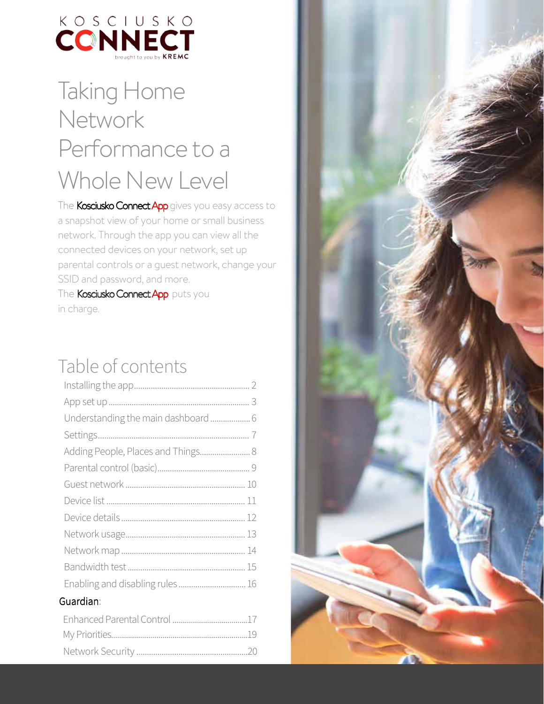

## Taking Home Network Performance to a Whole New Level

The Kosciusko Connect App gives you easy access to a snapshot view of your home or small business network. Through the app you can view all the connected devices on your network, set up parental controls or a quest network, change your SSID and password, and more. The Kosciusko Connect App puts you in charge.

## Table of contents

| Understanding the main dashboard  6 |  |
|-------------------------------------|--|
|                                     |  |
| Adding People, Places and Things 8  |  |
|                                     |  |
|                                     |  |
|                                     |  |
|                                     |  |
|                                     |  |
|                                     |  |
|                                     |  |
| Enabling and disabling rules 16     |  |
| Guardian:                           |  |
|                                     |  |
|                                     |  |

/2\*-& 0-\$/4 өөөөөөөөөөөөөөөөөөөөөөөөөөөөөөөөөөөөөөөөөөөөөөөөөөөөөҵҳ

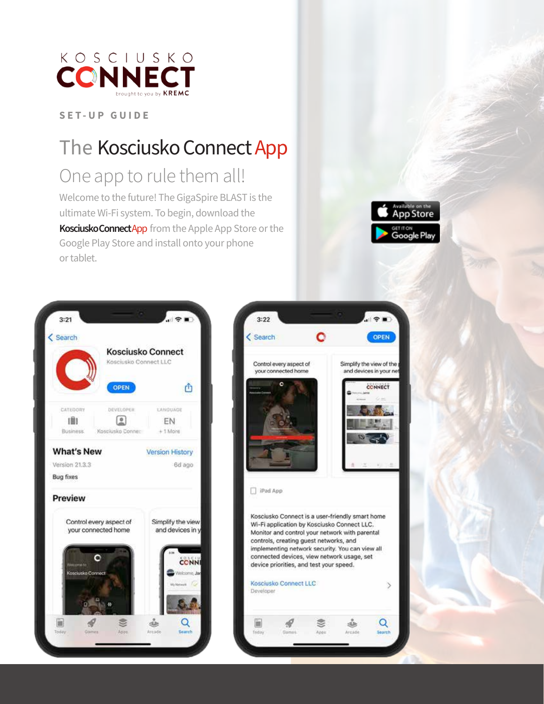

## The Kosciusko Connect App

### One app to rule them all!

Welcome to the future! The GigaSpire BLAST is the ultimate Wi-Fi system. To begin, download the Kosciusko Connect App from the Apple App Store or the Google Play Store and install onto your phone or tablet.





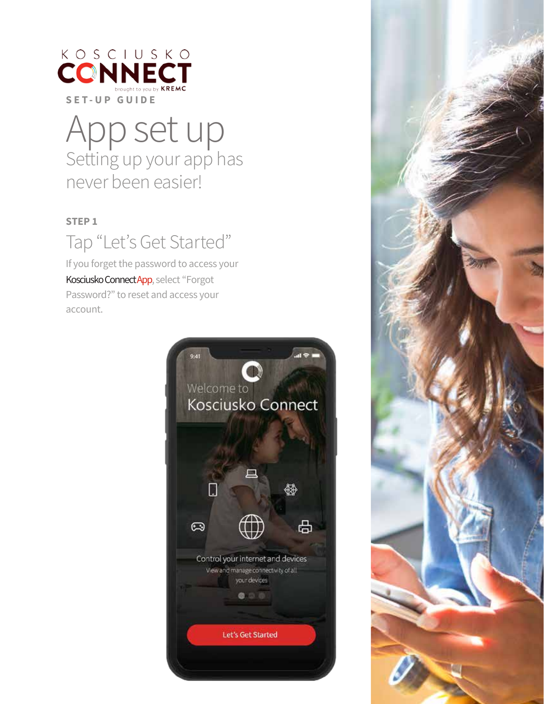

## App set up Setting up your app has never been easier!

### **STEP 1**

## Tap "Let's Get Started"

If you forget the password to access your Kosciusko Connect App, select "Forgot Password?" to reset and access your account.



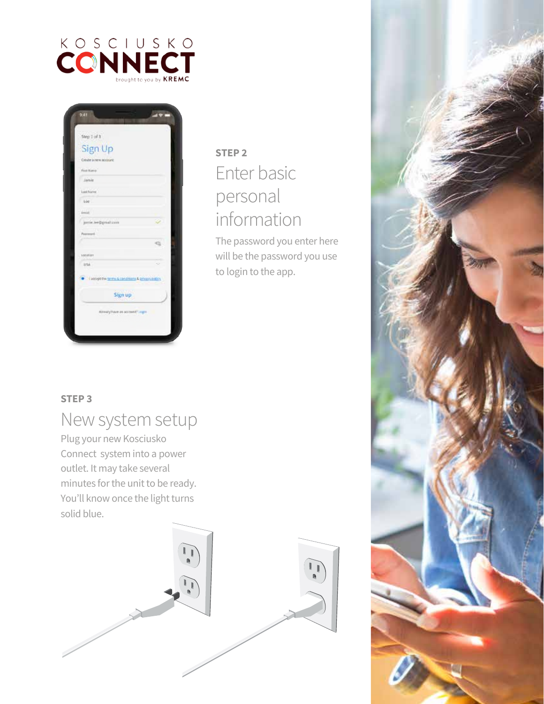



### **STEP 2** Enter basic personal information

The password you enter here will be the password you use to login to the app.

### **STEP 3**

### New system setup

Plug your new Kosciusko Connect system into a power outlet. It may take several minutes for the unit to be ready. You'll know once the light turns solid blue.



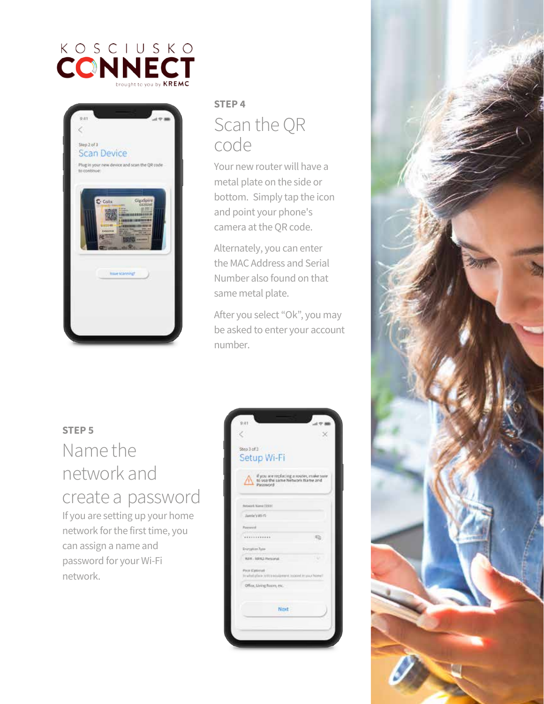



### **STEP4** Scan the QR code

Your new router will have a metal plate on the side or bottom. Simply tap the icon and point your phone's camera at the QR code.

Alternately, you can enter the MAC Address and Serial Number also found on that same metal plate.

After you select "Ok", you may be asked to enter your account number.

### **STEP 5**

### Name the network and create a password

If you are setting up your home network for the first time, you can assign a name and password for your Wi-Fi network.

| Step 3 of 3<br>Setup Wi-Fi                                                               |          |
|------------------------------------------------------------------------------------------|----------|
| if you are replacing a router, make sure<br>to use the same Network Name and<br>Password |          |
| Rebecci, Name (15/3)                                                                     |          |
| Janvie's Wi-Fi                                                                           |          |
| Fannesville                                                                              |          |
|                                                                                          |          |
| Tearyption Type                                                                          |          |
| WH - 10HJ-Personal.                                                                      | 148<br>N |
| PHIA Kantinisti<br>In what place in this equipment, to post in your home?                |          |
| Office, Living Room, etc.                                                                |          |
| Next                                                                                     |          |
|                                                                                          |          |

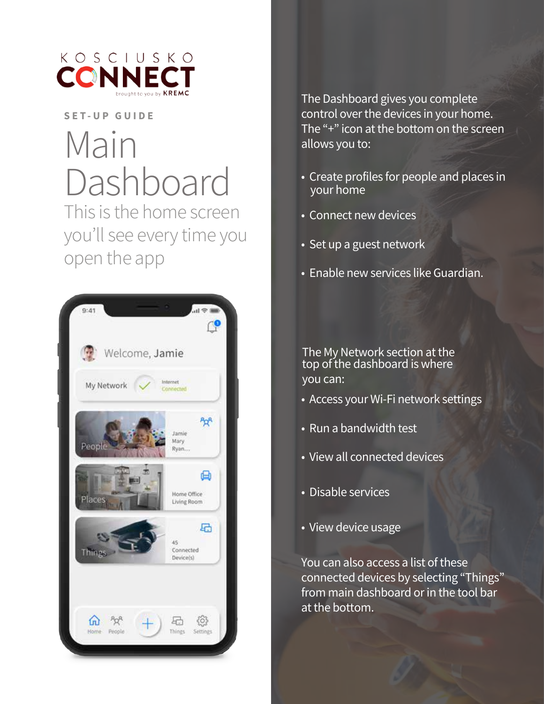

## Main Dashboard This is the home screen you'll see every time you open the app



The Dashboard gives you complete control over the devices in your home. The "+" icon at the bottom on the screen allows you to:

- Create profiles for people and places in your home
- Connect new devices
- Set up a guest network
- Enable new services like Guardian.

The My Network section at the top of the dashboard is where you can:

- Access your Wi-Fi network settings
- Run a bandwidth test
- View all connected devices
- Disable services
- View device usage

You can also access a list of these connected devices by selecting "Things" from main dashboard or in the tool bar at the bottom.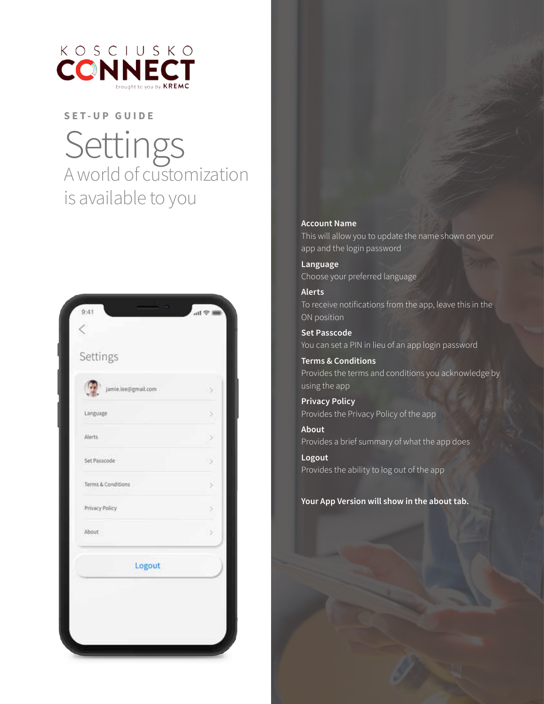

Settings<br>A world of customization is available to you



#### **Account Name**

This will allow you to update the name shown on your app and the login password

Language Choose your preferred language

**Alerts** To receive notifications from the app, leave this in the ON position

**Set Passcode** You can set a PIN in lieu of an app login password

**Terms & Conditions** Provides the terms and conditions you acknowledge by using the app

**Privacy Policy** Provides the Privacy Policy of the app

About Provides a brief summary of what the app does

Logout Provides the ability to log out of the app

Your App Version will show in the about tab.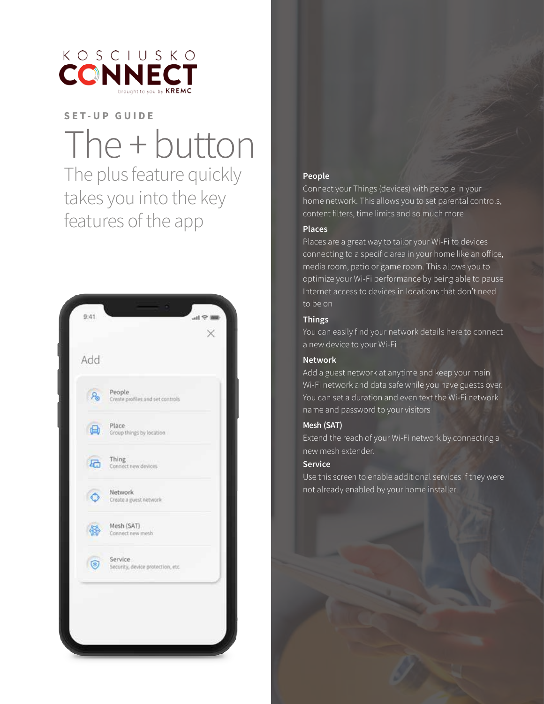

# The + button

The plus feature quickly takes you into the key features of the app



### People

Connect your Things (devices) with people in your home network. This allows you to set parental controls, content filters, time limits and so much more

### **Places**

Places are a great way to tailor your Wi-Fi to devices connecting to a specific area in your home like an office, media room, patio or game room. This allows you to optimize your Wi-Fi performance by being able to pause Internet access to devices in locations that don't need to be on

### **Things**

You can easily find your network details here to connect a new device to your Wi-Fi

#### **Network**

Add a guest network at anytime and keep your main Wi-Fi network and data safe while you have guests over. You can set a duration and even text the Wi-Fi network name and password to your visitors

### Mesh (SAT)

Extend the reach of your Wi-Fi network by connecting a new mesh extender.

#### **Service**

Use this screen to enable additional services if they were not already enabled by your home installer.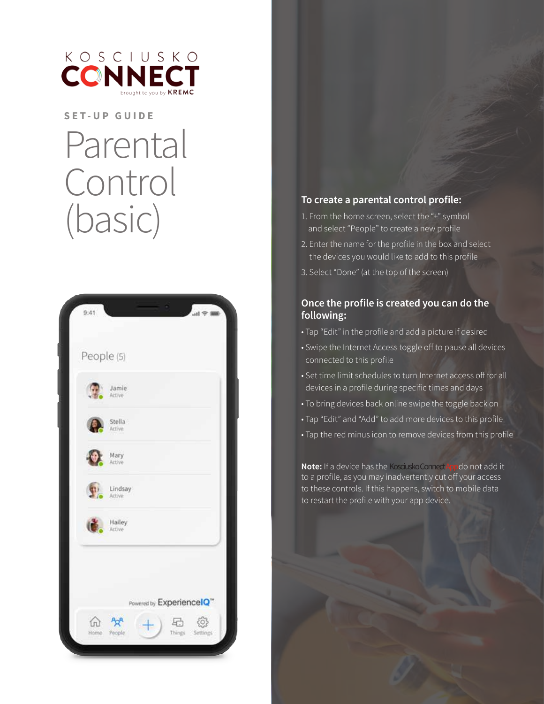

## Parental Control (basic)



### To create a parental control profile:

- 1. From the home screen, select the "+" symbol and select "People" to create a new profile
- 2. Enter the name for the profile in the box and select the devices you would like to add to this profile
- 3. Select "Done" (at the top of the screen)

### Once the profile is created you can do the following:

- Tap "Edit" in the profile and add a picture if desired
- Swipe the Internet Access toggle off to pause all devices connected to this profile
- Set time limit schedules to turn Internet access off for all devices in a profile during specific times and days
- . To bring devices back online swipe the toggle back on
- Tap "Edit" and "Add" to add more devices to this profile
- Tap the red minus icon to remove devices from this profile

Note: If a device has the Kosciusko ConnectAppdo not add it to a profile, as you may inadvertently cut off your access to these controls. If this happens, switch to mobile data to restart the profile with your app device.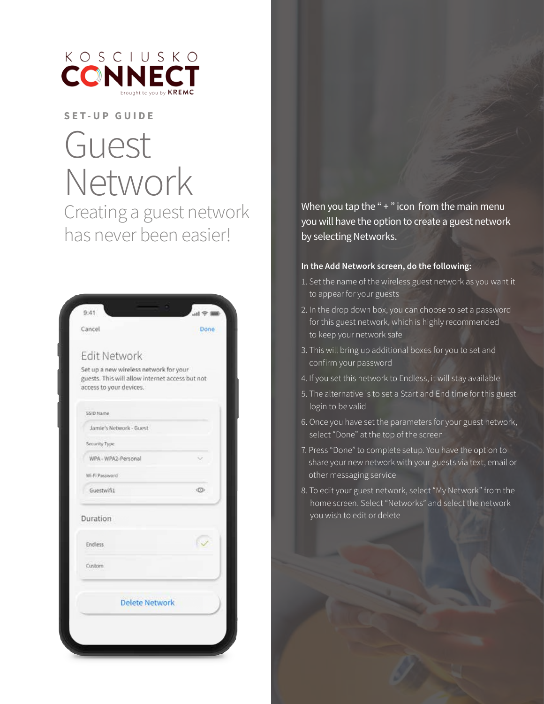

## Guest Network Creating a guest network has never been easier!

| Cancel                                                                                                               | Done     |
|----------------------------------------------------------------------------------------------------------------------|----------|
| <b>Edit Network</b>                                                                                                  |          |
| Set up a new wireless network for your<br>guests. This will allow internet access but not<br>access to your devices. |          |
| SSID Name                                                                                                            |          |
| Jamie's Network - Guest                                                                                              |          |
| Security Type:                                                                                                       |          |
| WPA-WPA2-Personal                                                                                                    |          |
| Wi-Fi Password                                                                                                       |          |
| Guestwift1                                                                                                           | <b>O</b> |
| Duration                                                                                                             |          |
| <b>Endless</b>                                                                                                       |          |
| Custom                                                                                                               |          |
| <b>Delete Network</b>                                                                                                |          |

When you tap the " $+$ " icon from the main menu you will have the option to create a guest network by selecting Networks.

#### **In the Add Network screen, do the following:**

- 1. Set the name of the wireless guest network as you want it to appear for your guests
- 2. In the drop down box, you can choose to set a password for this guest network, which is highly recommended to keep your network safe
- 3. This will bring up additional boxes for you to set and confirm your password
- 4. If you set this network to Endless, it will stay available
- 5. The alternative is to set a Start and End time for this guest login to be valid
- 6. Once you have set the parameters for your guest network, select "Done" at the top of the screen
- 7. Press "Done" to complete setup. You have the option to share your new network with your guests via text, email or other messaging service
- 8. To edit your guest network, select "My Network" from the home screen. Select "Networks" and select the network you wish to edit or delete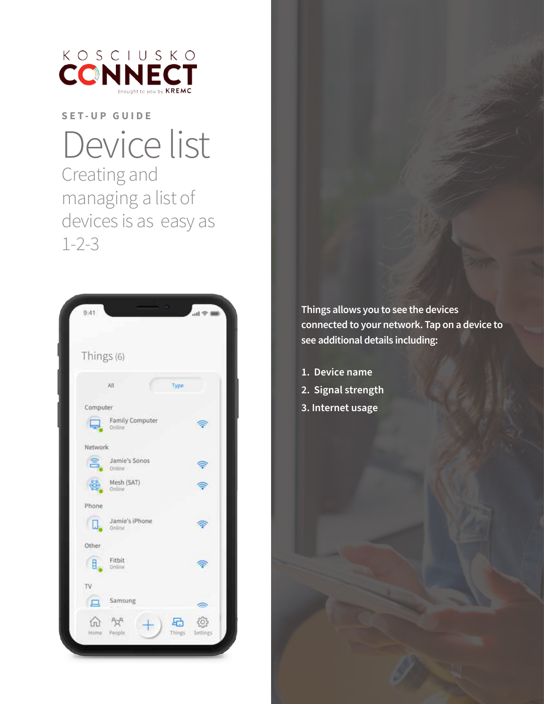

## Device list Creating and managing a list of devices is as easy as  $1 - 2 - 3$



Things allows you to see the devices connected to your network. Tap on a device to see additional details including:

1. Device name 2. Signal strength 3. Internet usage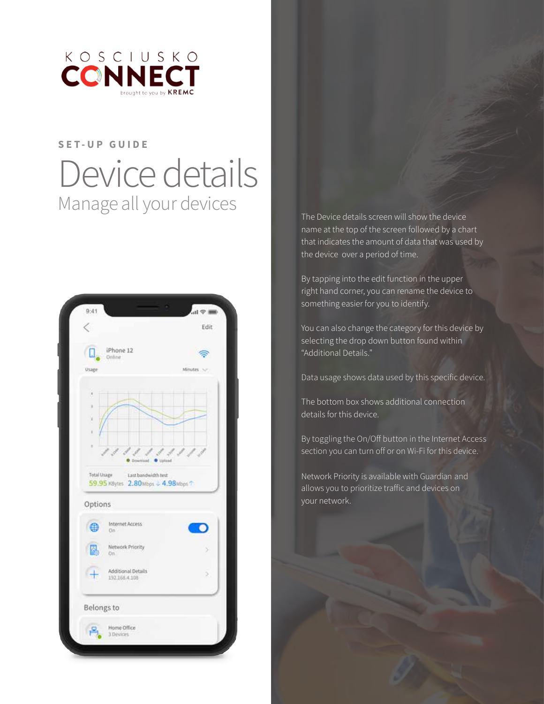

## SET-UP GUIDE Device details Manage all your devices

|                    |                                                                  | Edit      |
|--------------------|------------------------------------------------------------------|-----------|
|                    | iPhone 12<br>Online                                              |           |
| <b>Usage</b>       |                                                                  | Minutes > |
| x<br>ï<br>٠        |                                                                  | ø         |
| <b>Total Usage</b> | ad.<br>Last bandwidth test<br>59.95 KBytes 2.80Mbps + 4.98Mbps 1 | Upland    |
| Options            |                                                                  |           |
| 0                  | Internet Access<br>On.                                           |           |
|                    | Network Priority<br>On.                                          | s         |
|                    | <b>Additional Details</b><br>192.168.4.108                       | ž,        |
| Belongs to         |                                                                  |           |

The Device details screen will show the device name at the top of the screen followed by a chart that indicates the amount of data that was used by the device over a period of time.

By tapping into the edit function in the upper right hand corner, you can rename the device to something easier for you to identify.

You can also change the category for this device by selecting the drop down button found within "Additional Details."

Data usage shows data used by this specific device.

The bottom box shows additional connection details for this device.

By toggling the On/Off button in the Internet Access section you can turn off or on Wi-Fi for this device.

Network Priority is available with Guardian and allows you to prioritize traffic and devices on your network.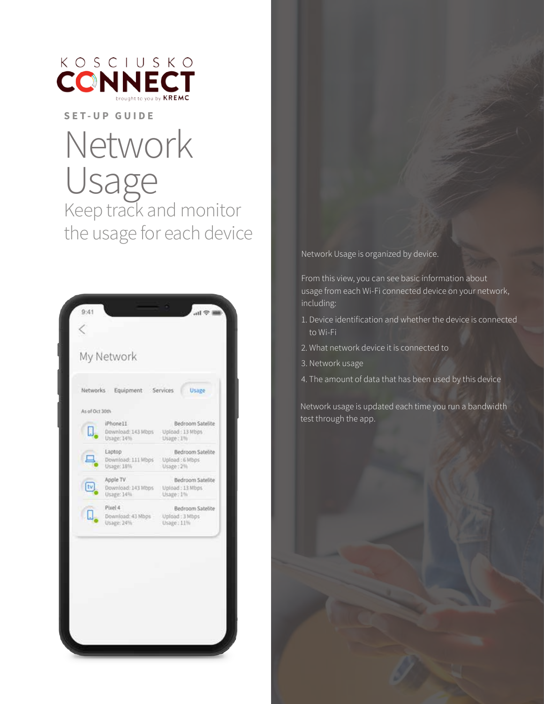

## Network Usage<br>Keep track and monitor the usage for each device



Network Usage is organized by device.

From this view, you can see basic information about usage from each Wi-Fi connected device on your network, including:

- 1. Device identification and whether the device is connected to Wi-Fi
- 2. What network device it is connected to
- 3. Network usage
- 4. The amount of data that has been used by this device

Network usage is updated each time you run a bandwidth test through the app.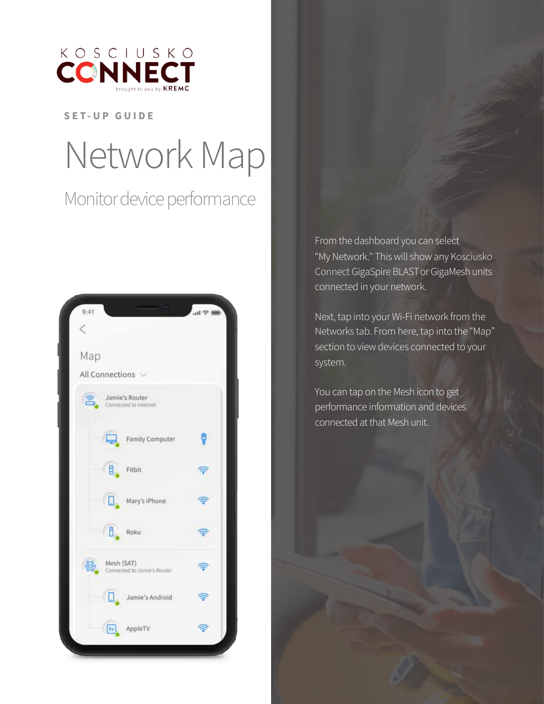

# Network Map

### Monitor device performance



From the dashboard you can select "My Network." This will show any Kosciusko Connect GigaSpire BLAST or GigaMesh units connected in your network.

Next, tap into your Wi-Fi network from the Networks tab. From here, tap into the "Map" section to view devices connected to your system.

You can tap on the Mesh icon to get performance information and devices connected at that Mesh unit.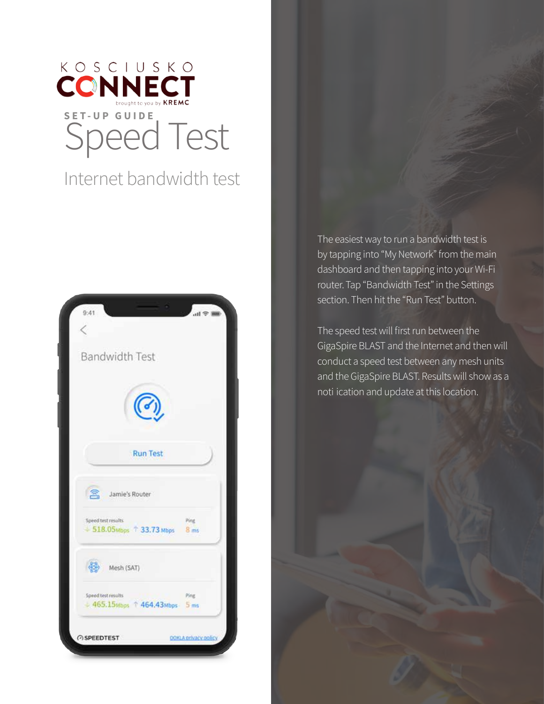

### Internet bandwidth test



The easiest way to run a bandwidth test is by tapping into "My Network" from the main dashboard and then tapping into your Wi-Fi router. Tap "Bandwidth Test" in the Settings section. Then hit the "Run Test" button.

The speed test will first run between the GigaSpire BLAST and the Internet and then will conduct a speed test between any mesh units and the GigaSpire BLAST. Results will show as a noti ication and update at this location.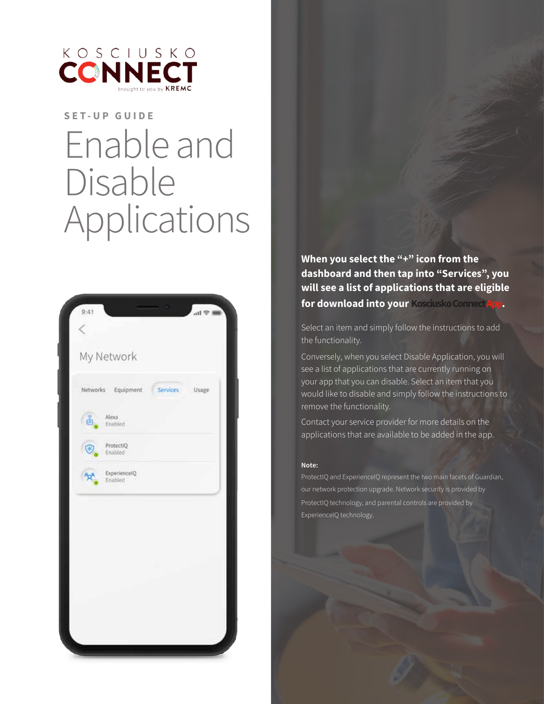

## **SET-UP GUIDE** Enable and Disable Applications



When you select the "+" icon from the dashboard and then tap into "Services", you will see a list of applications that are eligible for download into your Kosciusko Connect App.

Select an item and simply follow the instructions to add the functionality.

Conversely, when you select Disable Application, you will see a list of applications that are currently running on your app that you can disable. Select an item that you would like to disable and simply follow the instructions to remove the functionality.

Contact your service provider for more details on the applications that are available to be added in the app.

#### Note:

ProtectIQ and ExperienceIQ represent the two main facets of Guardian, our network protection upgrade. Network security is provided by ProtectIQ technology, and parental controls are provided by ExperienceIQ technology.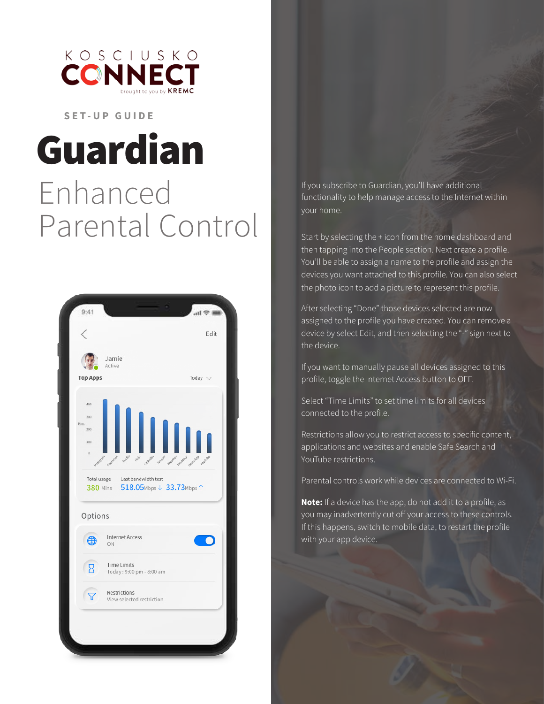

## Guardian Enhanced Parental Control



If you subscribe to Guardian, you'll have additional functionality to help manage access to the Internet within your home.

Start by selecting the + icon from the home dashboard and then tapping into the People section. Next create a profile. You'll be able to assign a name to the profile and assign the devices you want attached to this profile. You can also select the photo icon to add a picture to represent this profile.

After selecting "Done" those devices selected are now assigned to the profile you have created. You can remove a device by select Edit, and then selecting the "-" sign next to the device.

If you want to manually pause all devices assigned to this profile, toggle the Internet Access button to OFF.

Select "Time Limits" to set time limits for all devices connected to the profile.

Restrictions allow you to restrict access to specific content, applications and websites and enable Safe Search and YouTube restrictions.

Parental controls work while devices are connected to Wi-Fi.

Note: If a device has the app, do not add it to a profile, as you may inadvertently cut off your access to these controls. If this happens, switch to mobile data, to restart the profile with your app device.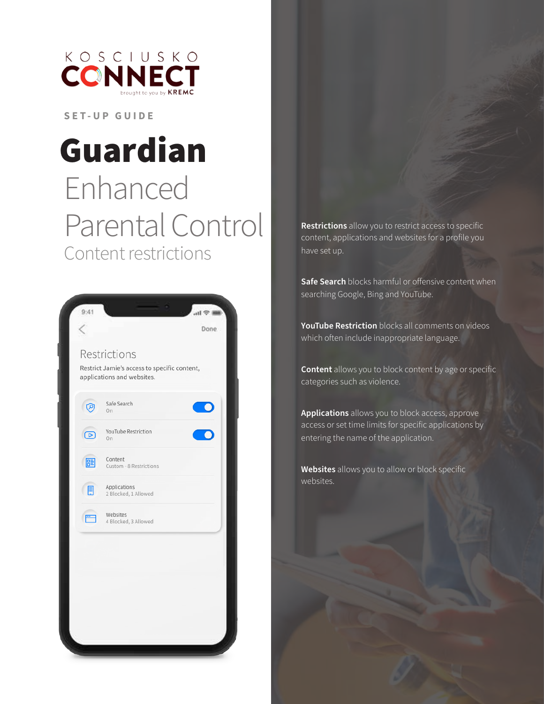

## Guardian Enhanced Parental Control Content restrictions

| Restrictions<br>Restrict Jamie's access to specific content,<br>applications and websites.<br>Safe Search<br>$\circledcirc$<br>On.<br>YouTube Restriction<br>$\circ$<br>On<br>Content<br>圉<br>Custom - 8 Restrictions<br>Applications<br>E<br>2 Blocked, 1 Allowed<br>Websites<br>m.<br>4 Blocked, 3 Allowed |
|--------------------------------------------------------------------------------------------------------------------------------------------------------------------------------------------------------------------------------------------------------------------------------------------------------------|
|                                                                                                                                                                                                                                                                                                              |
|                                                                                                                                                                                                                                                                                                              |
|                                                                                                                                                                                                                                                                                                              |
|                                                                                                                                                                                                                                                                                                              |
|                                                                                                                                                                                                                                                                                                              |
|                                                                                                                                                                                                                                                                                                              |

Restrictions allow you to restrict access to specific content, applications and websites for a profile you have set up.

Safe Search blocks harmful or offensive content when searching Google, Bing and YouTube.

YouTube Restriction blocks all comments on videos which often include inappropriate language.

**Content** allows you to block content by age or specific categories such as violence.

Applications allows you to block access, approve access or set time limits for specific applications by entering the name of the application.

Websites allows you to allow or block specific websites.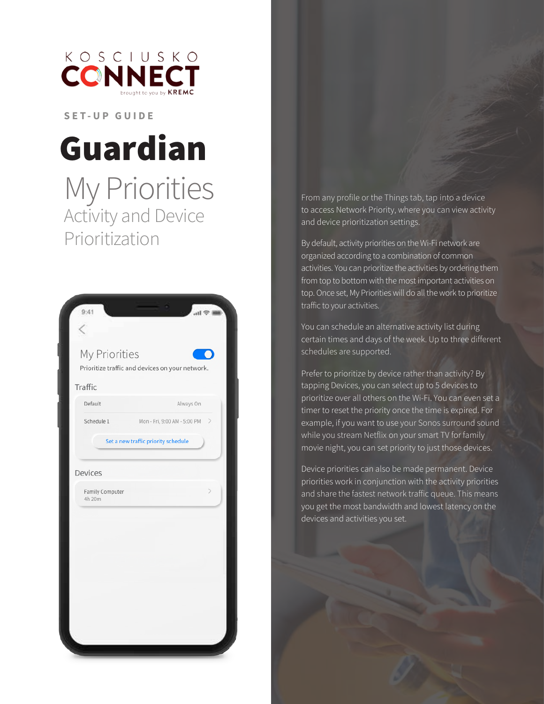

## Guardian

## My Priorities<br>Activity and Device Prioritization

| Traffic<br>Default        | Always On                           |
|---------------------------|-------------------------------------|
| Schedule 1                | Mon - Fri, 9:00 AM - 5:00 PM >      |
|                           | Set a new traffic priority schedule |
| Devices                   |                                     |
| Family Computer<br>4h 20m | $\mathcal{P}$                       |
|                           |                                     |
|                           |                                     |
|                           |                                     |

From any profile or the Things tab, tap into a device to access Network Priority, where you can view activity and device prioritization settings.

By default, activity priorities on the Wi-Fi network are organized according to a combination of common activities. You can prioritize the activities by ordering them from top to bottom with the most important activities on top. Once set, My Priorities will do all the work to prioritize traffic to your activities.

You can schedule an alternative activity list during certain times and days of the week. Up to three different schedules are supported.

Prefer to prioritize by device rather than activity? By tapping Devices, you can select up to 5 devices to prioritize over all others on the Wi-Fi. You can even set a timer to reset the priority once the time is expired. For example, if you want to use your Sonos surround sound while you stream Netflix on your smart TV for family movie night, you can set priority to just those devices.

Device priorities can also be made permanent. Device priorities work in conjunction with the activity priorities and share the fastest network traffic queue. This means you get the most bandwidth and lowest latency on the devices and activities you set.